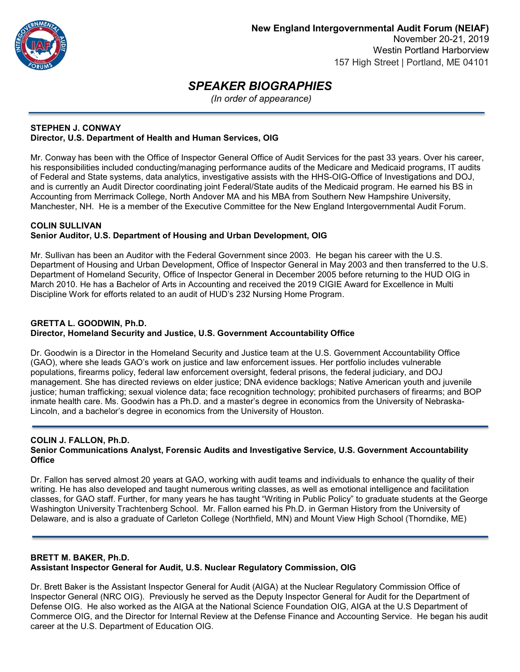

# *SPEAKER BIOGRAPHIES*

*(In order of appearance)*

### **STEPHEN J. CONWAY Director, U.S. Department of Health and Human Services, OIG**

Mr. Conway has been with the Office of Inspector General Office of Audit Services for the past 33 years. Over his career, his responsibilities included conducting/managing performance audits of the Medicare and Medicaid programs, IT audits of Federal and State systems, data analytics, investigative assists with the HHS-OIG-Office of Investigations and DOJ, and is currently an Audit Director coordinating joint Federal/State audits of the Medicaid program. He earned his BS in Accounting from Merrimack College, North Andover MA and his MBA from Southern New Hampshire University, Manchester, NH. He is a member of the Executive Committee for the New England Intergovernmental Audit Forum.

#### **COLIN SULLIVAN Senior Auditor, U.S. Department of Housing and Urban Development, OIG**

Mr. Sullivan has been an Auditor with the Federal Government since 2003. He began his career with the U.S. Department of Housing and Urban Development, Office of Inspector General in May 2003 and then transferred to the U.S. Department of Homeland Security, Office of Inspector General in December 2005 before returning to the HUD OIG in March 2010. He has a Bachelor of Arts in Accounting and received the 2019 CIGIE Award for Excellence in Multi Discipline Work for efforts related to an audit of HUD's 232 Nursing Home Program.

#### **GRETTA L. GOODWIN, Ph.D. Director, Homeland Security and Justice, U.S. Government Accountability Office**

Dr. Goodwin is a Director in the Homeland Security and Justice team at the U.S. Government Accountability Office (GAO), where she leads GAO's work on justice and law enforcement issues. Her portfolio includes vulnerable populations, firearms policy, federal law enforcement oversight, federal prisons, the federal judiciary, and DOJ management. She has directed reviews on elder justice; DNA evidence backlogs; Native American youth and juvenile justice; human trafficking; sexual violence data; face recognition technology; prohibited purchasers of firearms; and BOP inmate health care. Ms. Goodwin has a Ph.D. and a master's degree in economics from the University of Nebraska-Lincoln, and a bachelor's degree in economics from the University of Houston.

## **COLIN J. FALLON, Ph.D. Senior Communications Analyst, Forensic Audits and Investigative Service, U.S. Government Accountability Office**

Dr. Fallon has served almost 20 years at GAO, working with audit teams and individuals to enhance the quality of their writing. He has also developed and taught numerous writing classes, as well as emotional intelligence and facilitation classes, for GAO staff. Further, for many years he has taught "Writing in Public Policy" to graduate students at the George Washington University Trachtenberg School. Mr. Fallon earned his Ph.D. in German History from the University of Delaware, and is also a graduate of Carleton College (Northfield, MN) and Mount View High School (Thorndike, ME)

# **BRETT M. BAKER, Ph.D. Assistant Inspector General for Audit, U.S. Nuclear Regulatory Commission, OIG**

Dr. Brett Baker is the Assistant Inspector General for Audit (AIGA) at the Nuclear Regulatory Commission Office of Inspector General (NRC OIG). Previously he served as the Deputy Inspector General for Audit for the Department of Defense OIG. He also worked as the AIGA at the National Science Foundation OIG, AIGA at the U.S Department of Commerce OIG, and the Director for Internal Review at the Defense Finance and Accounting Service. He began his audit career at the U.S. Department of Education OIG.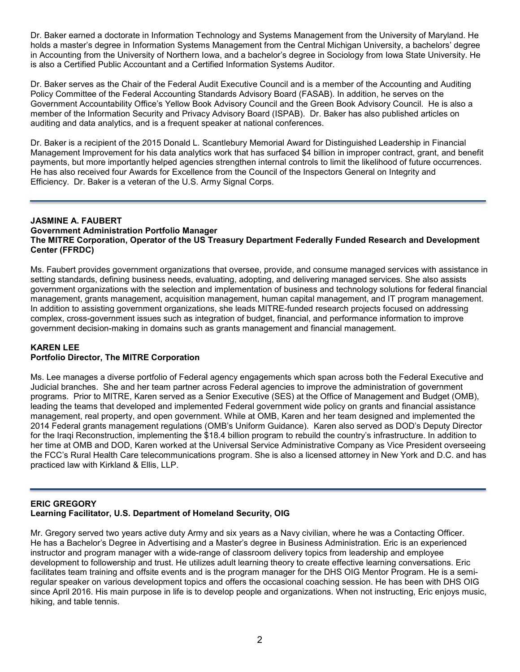Dr. Baker earned a doctorate in Information Technology and Systems Management from the University of Maryland. He holds a master's degree in Information Systems Management from the Central Michigan University, a bachelors' degree in Accounting from the University of Northern Iowa, and a bachelor's degree in Sociology from Iowa State University. He is also a Certified Public Accountant and a Certified Information Systems Auditor.

Dr. Baker serves as the Chair of the Federal Audit Executive Council and is a member of the Accounting and Auditing Policy Committee of the Federal Accounting Standards Advisory Board (FASAB). In addition, he serves on the Government Accountability Office's Yellow Book Advisory Council and the Green Book Advisory Council. He is also a member of the Information Security and Privacy Advisory Board (ISPAB). Dr. Baker has also published articles on auditing and data analytics, and is a frequent speaker at national conferences.

Dr. Baker is a recipient of the 2015 Donald L. Scantlebury Memorial Award for Distinguished Leadership in Financial Management Improvement for his data analytics work that has surfaced \$4 billion in improper contract, grant, and benefit payments, but more importantly helped agencies strengthen internal controls to limit the likelihood of future occurrences. He has also received four Awards for Excellence from the Council of the Inspectors General on Integrity and Efficiency. Dr. Baker is a veteran of the U.S. Army Signal Corps.

## **JASMINE A. FAUBERT Government Administration Portfolio Manager The MITRE Corporation, Operator of the US Treasury Department Federally Funded Research and Development Center (FFRDC)**

Ms. Faubert provides government organizations that oversee, provide, and consume managed services with assistance in setting standards, defining business needs, evaluating, adopting, and delivering managed services. She also assists government organizations with the selection and implementation of business and technology solutions for federal financial management, grants management, acquisition management, human capital management, and IT program management. In addition to assisting government organizations, she leads MITRE-funded research projects focused on addressing complex, cross-government issues such as integration of budget, financial, and performance information to improve government decision-making in domains such as grants management and financial management.

# **KAREN LEE Portfolio Director, The MITRE Corporation**

Ms. Lee manages a diverse portfolio of Federal agency engagements which span across both the Federal Executive and Judicial branches. She and her team partner across Federal agencies to improve the administration of government programs. Prior to MITRE, Karen served as a Senior Executive (SES) at the Office of Management and Budget (OMB), leading the teams that developed and implemented Federal government wide policy on grants and financial assistance management, real property, and open government. While at OMB, Karen and her team designed and implemented the 2014 Federal grants management regulations (OMB's Uniform Guidance). Karen also served as DOD's Deputy Director for the Iraqi Reconstruction, implementing the \$18.4 billion program to rebuild the country's infrastructure. In addition to her time at OMB and DOD, Karen worked at the Universal Service Administrative Company as Vice President overseeing the FCC's Rural Health Care telecommunications program. She is also a licensed attorney in New York and D.C. and has practiced law with Kirkland & Ellis, LLP.

# **ERIC GREGORY Learning Facilitator, U.S. Department of Homeland Security, OIG**

Mr. Gregory served two years active duty Army and six years as a Navy civilian, where he was a Contacting Officer. He has a Bachelor's Degree in Advertising and a Master's degree in Business Administration. Eric is an experienced instructor and program manager with a wide-range of classroom delivery topics from leadership and employee development to followership and trust. He utilizes adult learning theory to create effective learning conversations. Eric facilitates team training and offsite events and is the program manager for the DHS OIG Mentor Program. He is a semiregular speaker on various development topics and offers the occasional coaching session. He has been with DHS OIG since April 2016. His main purpose in life is to develop people and organizations. When not instructing, Eric enjoys music, hiking, and table tennis.